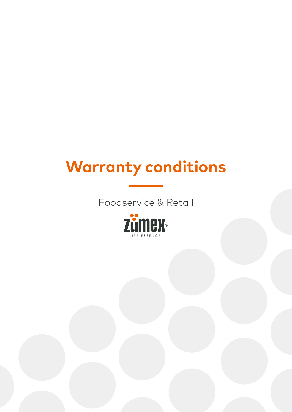## **Warranty conditions**

Foodservice & Retail

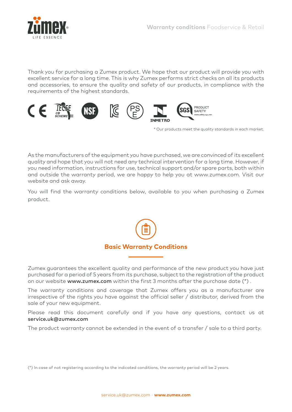

Thank you for purchasing a Zumex product. We hope that our product will provide you with excellent service for a long time. This is why Zumex performs strict checks on all its products and accessories, to ensure the quality and safety of our products, in compliance with the requirements of the highest standards.



\* Our products meet the quality standards in each market.

As the manufacturers of the equipment you have purchased, we are convinced of its excellent quality and hope that you will not need any technical intervention for a long time. However, if you need information, instructions for use, technical support and/or spare parts, both within and outside the warranty period, we are happy to help you at www.zumex.com. Visit our website and ask away.

You will find the warranty conditions below, available to you when purchasing a Zumex product.



Zumex guarantees the excellent quality and performance of the new product you have just purchased for a period of 5 years from its purchase, subject to the registration of the product on our website www.zumex.com within the first 3 months after the purchase date (\*).

The warranty conditions and coverage that Zumex offers you as a manufacturer are irrespective of the rights you have against the official seller / distributor, derived from the sale of your new equipment.

Please read this document carefully and if you have any questions, contact us at service.uk@zumex.com

The product warranty cannot be extended in the event of a transfer / sale to a third party.

(\*) In case of not registering according to the indicated conditions, the warranty period will be 2 years.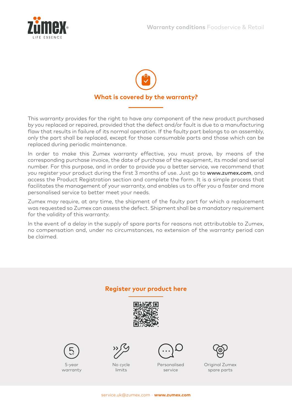



This warranty provides for the right to have any component of the new product purchased by you replaced or repaired, provided that the defect and/or fault is due to a manufacturing flaw that results in failure of its normal operation. If the faulty part belongs to an assembly, only the part shall be replaced, except for those consumable parts and those which can be replaced during periodic maintenance.

In order to make this Zumex warranty effective, you must prove, by means of the corresponding purchase invoice, the date of purchase of the equipment, its model and serial number. For this purpose, and in order to provide you a better service, we recommend that you register your product during the first 3 months of use. Just go to www.zumex.com, and access the Product Registration section and complete the form. It is a simple process that facilitates the management of your warranty, and enables us to offer you a faster and more personalised service to better meet your needs.

Zumex may require, at any time, the shipment of the faulty part for which a replacement was requested so Zumex can assess the defect. Shipment shall be a mandatory requirement for the validity of this warranty.

In the event of a delay in the supply of spare parts for reasons not attributable to Zumex, no compensation and, under no circumstances, no extension of the warranty period can be claimed.

## **Register your product here**





5-year warranty



No cycle limits



Personalised service



Original Zumex spare parts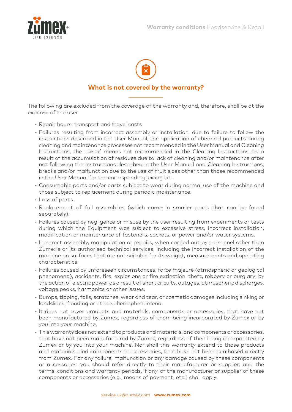



The following are excluded from the coverage of the warranty and, therefore, shall be at the expense of the user:

- Repair hours, transport and travel costs
- Failures resulting from incorrect assembly or installation, due to failure to follow the instructions described in the User Manual, the application of chemical products during cleaning and maintenance processes not recommended in the User Manual and Cleaning Instructions, the use of means not recommended in the Cleaning Instructions, as a result of the accumulation of residues due to lack of cleaning and/or maintenance after not following the instructions described in the User Manual and Cleaning Instructions, breaks and/or malfunction due to the use of fruit sizes other than those recommended in the User Manual for the corresponding juicing kit..
- Consumable parts and/or parts subject to wear during normal use of the machine and those subject to replacement during periodic maintenance.
- Loss of parts.
- Replacement of full assemblies (which come in smaller parts that can be found separately).
- Failures caused by negligence or misuse by the user resulting from experiments or tests during which the Equipment was subject to excessive stress, incorrect installation, modification or maintenance of fasteners, sockets, or power and/or water systems.
- Incorrect assembly, manipulation or repairs, when carried out by personnel other than Zumex's or its authorised technical services, including the incorrect installation of the machine on surfaces that are not suitable for its weight, measurements and operating characteristics.
- Failures caused by unforeseen circumstances, force majeure (atmospheric or geological phenomena), accidents, fire, explosions or fire extinction, theft, robbery or burglary; by the action of electric power as a result of short circuits, outages, atmospheric discharges, voltage peaks, harmonics or other issues.
- Bumps, tipping, falls, scratches, wear and tear, or cosmetic damages including sinking or landslides, flooding or atmospheric phenomena.
- It does not cover products and materials, components or accessories, that have not been manufactured by Zumex, regardless of them being incorporated by Zumex or by you into your machine.
- This warranty does not extend to products and materials, and components or accessories, that have not been manufactured by Zumex, regardless of their being incorporated by Zumex or by you into your machine. Nor shall this warranty extend to those products and materials, and components or accessories, that have not been purchased directly from Zumex. For any failure, malfunction or any damage caused by these components or accessories, you should refer directly to their manufacturer or supplier, and the terms, conditions and warranty periods, if any, of the manufacturer or supplier of these components or accessories (e.g., means of payment, etc.) shall apply.